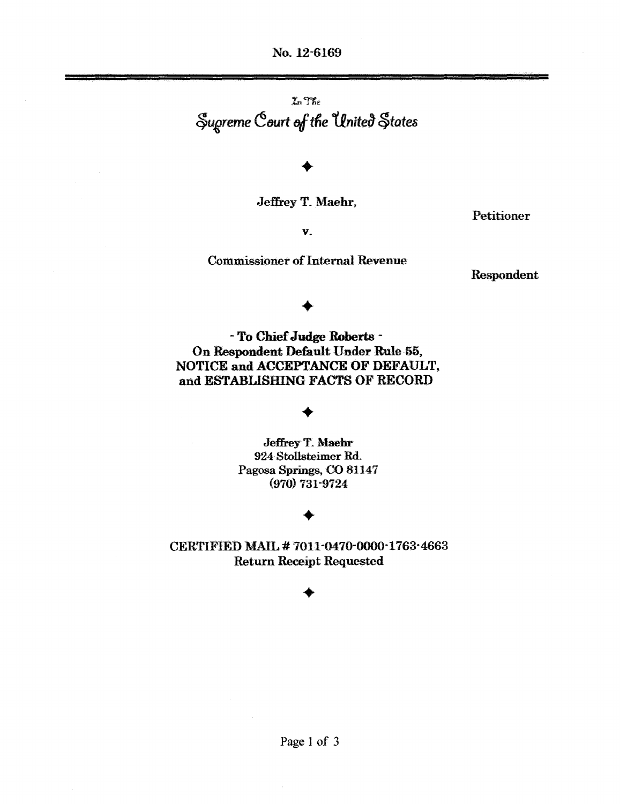No. 12-6169

 $In$  The  $\mathcal{S}_{\text{u}q}$  *reme*  $\mathcal{C}_{\text{out}}$  of the United  $\mathcal{S}_{\text{t}q}$  tates

# •

Jeffrey T. Maehr,

Petitioner

v.

#### Commissioner of Internal Revenue

Respondent

# •

- To Chief Judge Roberts -On Respondent Default Under Rule 55, NOTICE and ACCEPTANCE OF DEFAULT, and ESTABLISHING FACTS OF RECORD

# •

Jeffrey T. Maehr 924 Stollsteimer Rd. Pagosa Springs, CO 81147 (970) 731-9724

### •

CERTIFIED MAIL #7011-0470-0000-1763-4663 Return Receipt Requested

### •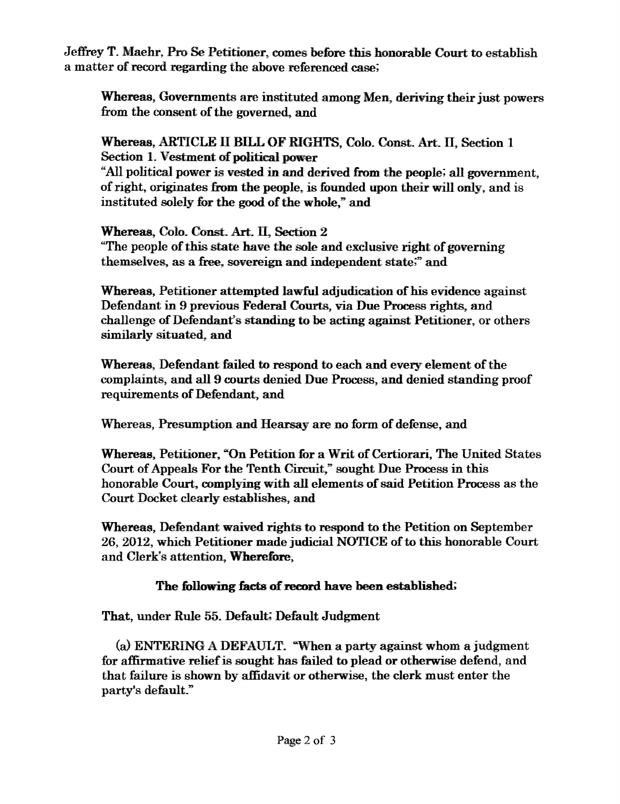Jeffrey T. Maehr, Pro Se Petitioner, comes before this honorable Court to establish a matter of record regarding the above referenced case;

Whereas, Governments are instituted among Men, deriving their just powers from the consent of the governed, and

Whereas, ARTICLE II BILL OF RIGHTS, Colo. Const. Art. II, Section 1 Section 1. Vestment of political power "All political power is vested in and derived from the people; all government, of right, originates from the people, is founded upon their will only, and is instituted solely for the good of the whole," and

Whereas, Colo. Const. Art. II, Section 2 "The people ofthis state have the sole and exclusive right of governing themselves. as a free, sovereign and independent state;" and

Whereas. Petitioner attempted lawful adjudication of his evidence against Defendant in 9 previous Federal Courts, via Due Process rights, and challenge of Defendant's standing to be acting against Petitioner, or others similarly situated. and

Whereas. Defendant failed to respond to each and every element of the complaints, and all 9 courts denied Due Process, and denied standing proof requirements of Defendant, and

Whereas, Presumption and Hearsay are no form of defense, and

Whereas, Petitioner, "On Petition for a Writ of Certiorari, The United States Court of Appeals For the Tenth Circuit," sought Due Process in this honorable Court, complying with all elements of said Petition Process as the Court Docket clearly establishes, and

Whereas. Defendant waived rights to respond to the Petition on September 26, 2012, which Petitioner made judicial NOTICE of to this honorable Court and Clerk's attention, Wherefore,

#### The following facts of record have been established;

That, under Rule 55. Default; Default Judgment

(a) ENTERING A DEFAULT. "When a party against whom a judgment for affirmative reliefis sought has failed to plead or otherwise defend, and that failure is shown by affidavit or otherwise, the clerk must enter the party's default."